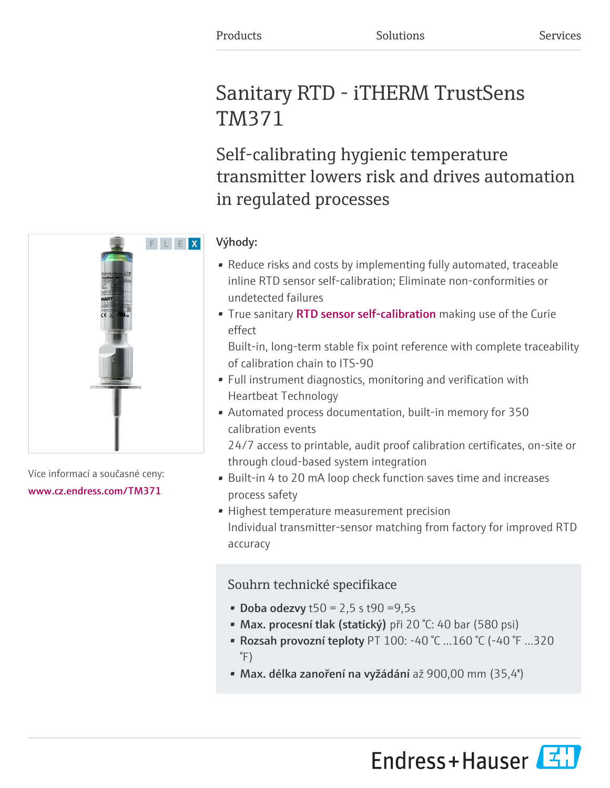# Sanitary RTD - iTHERM TrustSens TM371

Self-calibrating hygienic temperature transmitter lowers risk and drives automation in regulated processes

# Výhody:

- Reduce risks and costs by implementing fully automated, traceable inline RTD sensor self-calibration; Eliminate non-conformities or undetected failures
- True sanitary [RTD sensor self-calibration](https://www.cz.endress.com/cs/Polni-instrumentace-sita-na-miru/Technologie-mereni-a-prumyslove-komunikace/trustsens-technology) making use of the Curie effect

Built-in, long-term stable fix point reference with complete traceability of calibration chain to ITS-90

- Full instrument diagnostics, monitoring and verification with Heartbeat Technology
- Automated process documentation, built-in memory for 350 calibration events

24/7 access to printable, audit proof calibration certificates, on-site or through cloud-based system integration

- Built-in 4 to 20 mA loop check function saves time and increases process safety
- Highest temperature measurement precision Individual transmitter-sensor matching from factory for improved RTD accuracy

# Souhrn technické specifikace

- Doba odezvy  $t50 = 2,5$  s  $t90 = 9,5$ s
- Max. procesní tlak (statický) při 20 °C: 40 bar (580 psi)
- Rozsah provozní teploty PT 100: -40 °C …160 °C (-40 °F …320 °F)
- Max. délka zanoření na vyžádání až 900,00 mm (35,4'')



Více informací a současné ceny: [www.cz.endress.com/TM371](https://www.cz.endress.com/TM371)

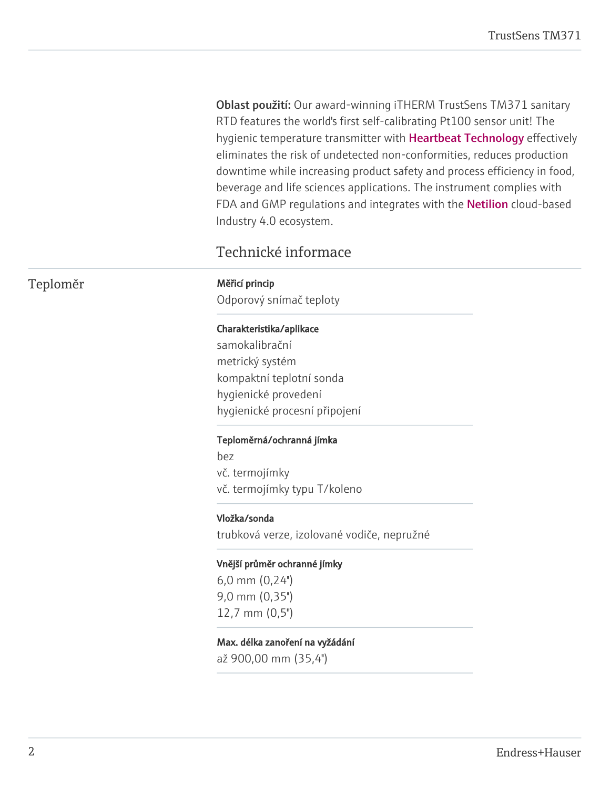Oblast použití: Our award-winning iTHERM TrustSens TM371 sanitary RTD features the world's first self-calibrating Pt100 sensor unit! The hygienictemperature transmitter with Heartbeat Technology effectively eliminates the risk of undetected non-conformities, reduces production downtime while increasing product safety and process efficiency in food, beverage and life sciences applications. The instrument complies with FDA and GMP regulations and integrates with the **Netilion** cloud-based Industry 4.0 ecosystem.

# Technické informace

### Teploměr Měřicí princip

Odporový snímač teploty

### Charakteristika/aplikace

samokalibrační metrický systém kompaktní teplotní sonda hygienické provedení hygienické procesní připojení

### Teploměrná/ochranná jímka

bez vč. termojímky vč. termojímky typu T/koleno

### Vložka/sonda

trubková verze, izolované vodiče, nepružné

### Vnější průměr ochranné jímky

6,0 mm (0,24'') 9,0 mm (0,35'') 12,7 mm (0,5")

# Max. délka zanoření na vyžádání

až 900,00 mm (35,4'')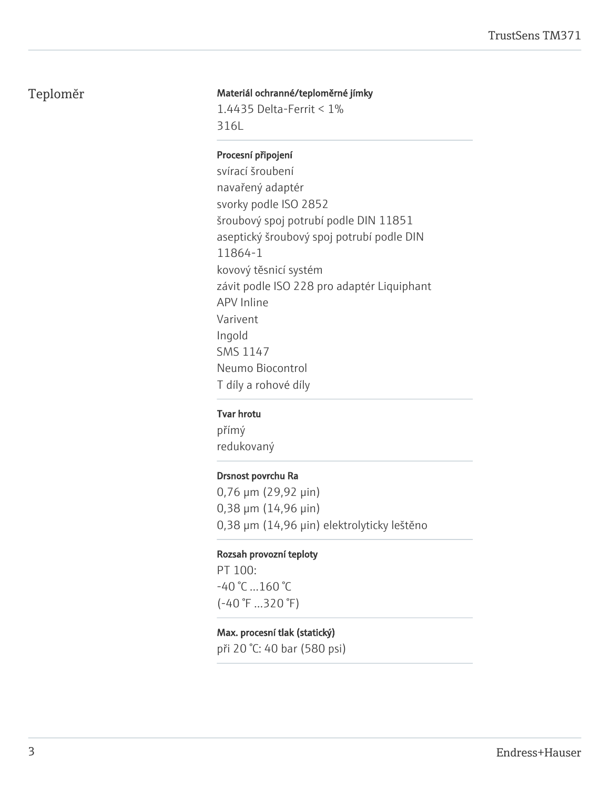# Teploměr

# Materiál ochranné/teploměrné jímky

1.4435 Delta-Ferrit < 1% 316L

# Procesní připojení

svírací šroubení navařený adaptér svorky podle ISO 2852 šroubový spoj potrubí podle DIN 11851 aseptický šroubový spoj potrubí podle DIN 11864-1 kovový těsnicí systém závit podle ISO 228 pro adaptér Liquiphant APV Inline Varivent Ingold SMS 1147 Neumo Biocontrol T díly a rohové díly

# Tvar hrotu

přímý redukovaný

# Drsnost povrchu Ra

0,76 μm (29,92 μin) 0,38 μm (14,96 μin) 0,38 μm (14,96 μin) elektrolyticky leštěno

### Rozsah provozní teploty

PT 100: -40 °C …160 °C (-40 °F …320 °F)

# Max. procesní tlak (statický)

při 20 °C: 40 bar (580 psi)